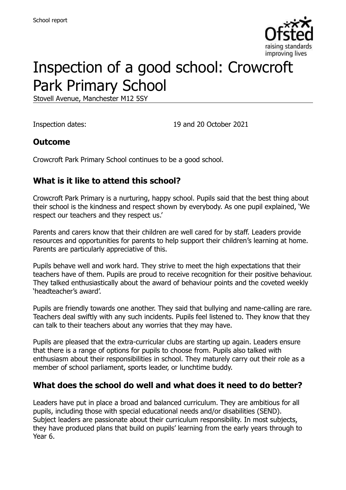

# Inspection of a good school: Crowcroft Park Primary School

Stovell Avenue, Manchester M12 5SY

Inspection dates: 19 and 20 October 2021

#### **Outcome**

Crowcroft Park Primary School continues to be a good school.

#### **What is it like to attend this school?**

Crowcroft Park Primary is a nurturing, happy school. Pupils said that the best thing about their school is the kindness and respect shown by everybody. As one pupil explained, 'We respect our teachers and they respect us.'

Parents and carers know that their children are well cared for by staff. Leaders provide resources and opportunities for parents to help support their children's learning at home. Parents are particularly appreciative of this.

Pupils behave well and work hard. They strive to meet the high expectations that their teachers have of them. Pupils are proud to receive recognition for their positive behaviour. They talked enthusiastically about the award of behaviour points and the coveted weekly 'headteacher's award'.

Pupils are friendly towards one another. They said that bullying and name-calling are rare. Teachers deal swiftly with any such incidents. Pupils feel listened to. They know that they can talk to their teachers about any worries that they may have.

Pupils are pleased that the extra-curricular clubs are starting up again. Leaders ensure that there is a range of options for pupils to choose from. Pupils also talked with enthusiasm about their responsibilities in school. They maturely carry out their role as a member of school parliament, sports leader, or lunchtime buddy.

#### **What does the school do well and what does it need to do better?**

Leaders have put in place a broad and balanced curriculum. They are ambitious for all pupils, including those with special educational needs and/or disabilities (SEND). Subject leaders are passionate about their curriculum responsibility. In most subjects, they have produced plans that build on pupils' learning from the early years through to Year 6.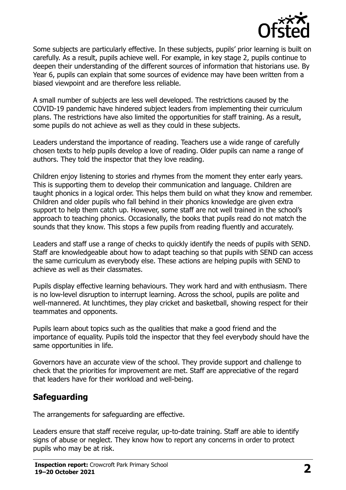

Some subjects are particularly effective. In these subjects, pupils' prior learning is built on carefully. As a result, pupils achieve well. For example, in key stage 2, pupils continue to deepen their understanding of the different sources of information that historians use. By Year 6, pupils can explain that some sources of evidence may have been written from a biased viewpoint and are therefore less reliable.

A small number of subjects are less well developed. The restrictions caused by the COVID-19 pandemic have hindered subject leaders from implementing their curriculum plans. The restrictions have also limited the opportunities for staff training. As a result, some pupils do not achieve as well as they could in these subjects.

Leaders understand the importance of reading. Teachers use a wide range of carefully chosen texts to help pupils develop a love of reading. Older pupils can name a range of authors. They told the inspector that they love reading.

Children enjoy listening to stories and rhymes from the moment they enter early years. This is supporting them to develop their communication and language. Children are taught phonics in a logical order. This helps them build on what they know and remember. Children and older pupils who fall behind in their phonics knowledge are given extra support to help them catch up. However, some staff are not well trained in the school's approach to teaching phonics. Occasionally, the books that pupils read do not match the sounds that they know. This stops a few pupils from reading fluently and accurately.

Leaders and staff use a range of checks to quickly identify the needs of pupils with SEND. Staff are knowledgeable about how to adapt teaching so that pupils with SEND can access the same curriculum as everybody else. These actions are helping pupils with SEND to achieve as well as their classmates.

Pupils display effective learning behaviours. They work hard and with enthusiasm. There is no low-level disruption to interrupt learning. Across the school, pupils are polite and well-mannered. At lunchtimes, they play cricket and basketball, showing respect for their teammates and opponents.

Pupils learn about topics such as the qualities that make a good friend and the importance of equality. Pupils told the inspector that they feel everybody should have the same opportunities in life.

Governors have an accurate view of the school. They provide support and challenge to check that the priorities for improvement are met. Staff are appreciative of the regard that leaders have for their workload and well-being.

### **Safeguarding**

The arrangements for safeguarding are effective.

Leaders ensure that staff receive regular, up-to-date training. Staff are able to identify signs of abuse or neglect. They know how to report any concerns in order to protect pupils who may be at risk.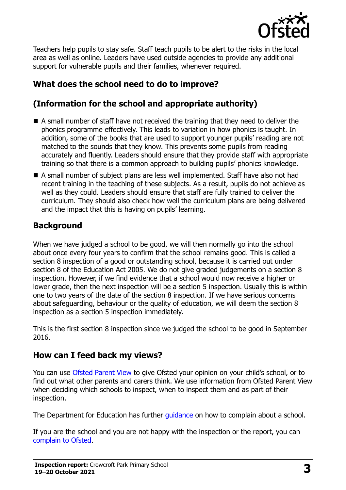

Teachers help pupils to stay safe. Staff teach pupils to be alert to the risks in the local area as well as online. Leaders have used outside agencies to provide any additional support for vulnerable pupils and their families, whenever required.

# **What does the school need to do to improve?**

# **(Information for the school and appropriate authority)**

- A small number of staff have not received the training that they need to deliver the phonics programme effectively. This leads to variation in how phonics is taught. In addition, some of the books that are used to support younger pupils' reading are not matched to the sounds that they know. This prevents some pupils from reading accurately and fluently. Leaders should ensure that they provide staff with appropriate training so that there is a common approach to building pupils' phonics knowledge.
- A small number of subject plans are less well implemented. Staff have also not had recent training in the teaching of these subjects. As a result, pupils do not achieve as well as they could. Leaders should ensure that staff are fully trained to deliver the curriculum. They should also check how well the curriculum plans are being delivered and the impact that this is having on pupils' learning.

## **Background**

When we have judged a school to be good, we will then normally go into the school about once every four years to confirm that the school remains good. This is called a section 8 inspection of a good or outstanding school, because it is carried out under section 8 of the Education Act 2005. We do not give graded judgements on a section 8 inspection. However, if we find evidence that a school would now receive a higher or lower grade, then the next inspection will be a section 5 inspection. Usually this is within one to two years of the date of the section 8 inspection. If we have serious concerns about safeguarding, behaviour or the quality of education, we will deem the section 8 inspection as a section 5 inspection immediately.

This is the first section 8 inspection since we judged the school to be good in September 2016.

### **How can I feed back my views?**

You can use [Ofsted Parent View](https://parentview.ofsted.gov.uk/) to give Ofsted your opinion on your child's school, or to find out what other parents and carers think. We use information from Ofsted Parent View when deciding which schools to inspect, when to inspect them and as part of their inspection.

The Department for Education has further quidance on how to complain about a school.

If you are the school and you are not happy with the inspection or the report, you can [complain to Ofsted.](https://www.gov.uk/complain-ofsted-report)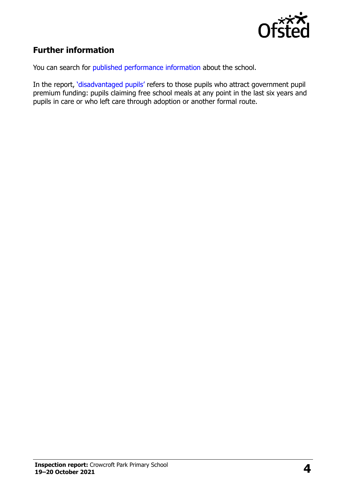

### **Further information**

You can search for [published performance information](http://www.compare-school-performance.service.gov.uk/) about the school.

In the report, '[disadvantaged pupils](http://www.gov.uk/guidance/pupil-premium-information-for-schools-and-alternative-provision-settings)' refers to those pupils who attract government pupil premium funding: pupils claiming free school meals at any point in the last six years and pupils in care or who left care through adoption or another formal route.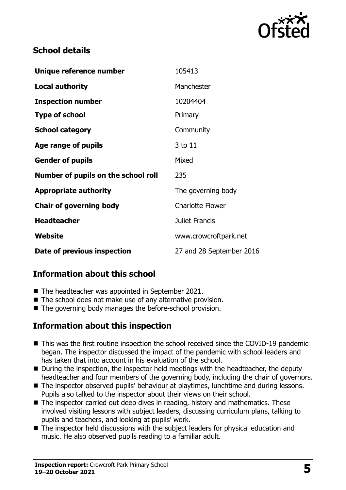

#### **School details**

| Unique reference number             | 105413                   |
|-------------------------------------|--------------------------|
| <b>Local authority</b>              | Manchester               |
| <b>Inspection number</b>            | 10204404                 |
| <b>Type of school</b>               | Primary                  |
| <b>School category</b>              | Community                |
| Age range of pupils                 | 3 to 11                  |
| <b>Gender of pupils</b>             | Mixed                    |
| Number of pupils on the school roll | 235                      |
| <b>Appropriate authority</b>        | The governing body       |
| <b>Chair of governing body</b>      | <b>Charlotte Flower</b>  |
| <b>Headteacher</b>                  | Juliet Francis           |
| Website                             | www.crowcroftpark.net    |
| Date of previous inspection         | 27 and 28 September 2016 |

### **Information about this school**

- The headteacher was appointed in September 2021.
- The school does not make use of any alternative provision.
- The governing body manages the before-school provision.

### **Information about this inspection**

- This was the first routine inspection the school received since the COVID-19 pandemic began. The inspector discussed the impact of the pandemic with school leaders and has taken that into account in his evaluation of the school.
- During the inspection, the inspector held meetings with the headteacher, the deputy headteacher and four members of the governing body, including the chair of governors.
- The inspector observed pupils' behaviour at playtimes, lunchtime and during lessons. Pupils also talked to the inspector about their views on their school.
- The inspector carried out deep dives in reading, history and mathematics. These involved visiting lessons with subject leaders, discussing curriculum plans, talking to pupils and teachers, and looking at pupils' work.
- The inspector held discussions with the subject leaders for physical education and music. He also observed pupils reading to a familiar adult.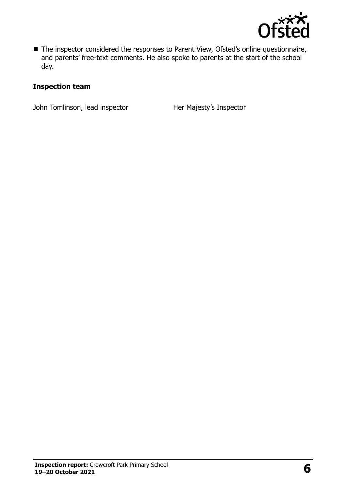

■ The inspector considered the responses to Parent View, Ofsted's online questionnaire, and parents' free-text comments. He also spoke to parents at the start of the school day.

#### **Inspection team**

John Tomlinson, lead inspector **Her Majesty's Inspector**